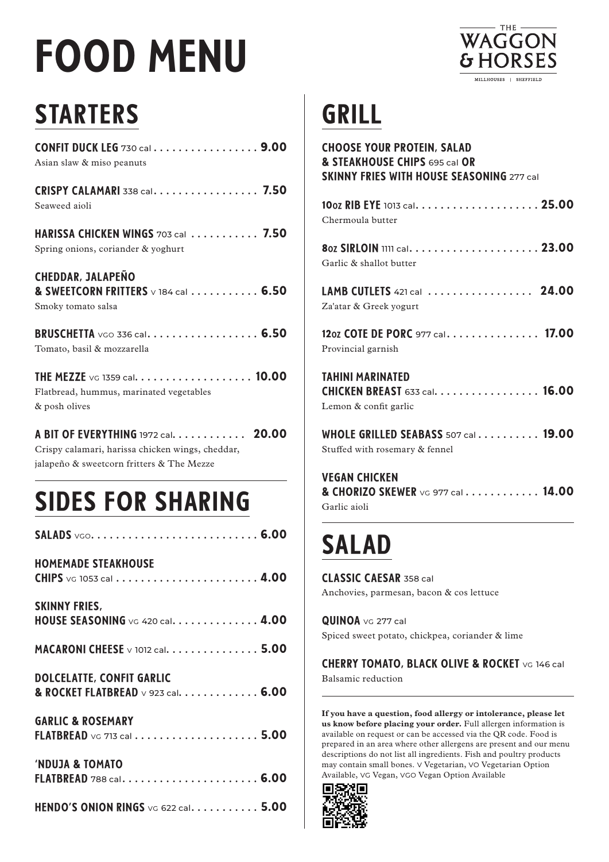# FOOD MENU



## STARTERS

| <b>CONFIT DUCK LEG 730 cal 9.00</b><br>Asian slaw & miso peanuts                                                                     |
|--------------------------------------------------------------------------------------------------------------------------------------|
| <b>CRISPY CALAMARI 338 cal. 7.50</b><br>Seaweed aioli                                                                                |
| HARISSA CHICKEN WINGS 703 cal  7.50<br>Spring onions, coriander & yoghurt                                                            |
| <b>CHEDDAR, JALAPEÑO</b><br>& SWEETCORN FRITTERS v 184 cal  6.50<br>Smoky tomato salsa                                               |
| <b>BRUSCHETTA</b> voo 336 cal 6.50<br>Tomato, basil & mozzarella                                                                     |
| THE MEZZE VG 1359 cal. 10.00<br>Flatbread, hummus, marinated vegetables<br>& posh olives                                             |
| A BIT OF EVERYTHING 1972 cal. 20.00<br>Crispy calamari, harissa chicken wings, cheddar,<br>jalapeño & sweetcorn fritters & The Mezze |
| <b>SIDES FOR SHARING</b>                                                                                                             |
|                                                                                                                                      |
| <b>HOMEMADE STEAKHOUSE</b>                                                                                                           |

| <b>SKINNY FRIES,</b><br><code>HOUSE</code> <code>SEASONING</code> <code>vg 420</code> cal. $\ldots \ldots \ldots \ldots$ . 4.00 |  |
|---------------------------------------------------------------------------------------------------------------------------------|--|
| <code>MACARONI</code> CHEESE $\lor$ 1012 cal. $\ldots \ldots \ldots \ldots \ldots$ 5.00                                         |  |
| <b>DOLCELATTE, CONFIT GARLIC</b><br>& ROCKET FLATBREAD v 923 cal. 6.00                                                          |  |
| <b>GARLIC &amp; ROSEMARY</b><br>FLATBREAD $\vee$ G 713 cal $\ldots \ldots \ldots \ldots \ldots \ldots$ 5.00                     |  |

| <b>'NDUJA &amp; TOMATO</b>                                                                |  |  |  |
|-------------------------------------------------------------------------------------------|--|--|--|
| $\textsf{\small FLATBREAD}\,$ 788 cal $\ldots\ldots\ldots\ldots\ldots\ldots\ldots\,$ 6.00 |  |  |  |
|                                                                                           |  |  |  |

| HENDO'S ONION RINGS $\vee$ G 622 cal. 5.00 |  |  |  |
|--------------------------------------------|--|--|--|
|--------------------------------------------|--|--|--|

## GRILL

| <b>CHOOSE YOUR PROTEIN, SALAD</b><br>& STEAKHOUSE CHIPS 695 cal OR<br><b>SKINNY FRIES WITH HOUSE SEASONING 277 call</b> |
|-------------------------------------------------------------------------------------------------------------------------|
| Chermoula butter                                                                                                        |
| Garlic & shallot butter                                                                                                 |
| LAMB CUTLETS 421 cal  24.00<br>Za'atar & Greek yogurt                                                                   |
| 120Z COTE DE PORC 977 cal. 17.00<br>Provincial garnish                                                                  |
| TAHINI MARINATED<br><b>CHICKEN BREAST 633 cal. 16.00</b><br>Lemon & confit garlic                                       |
| WHOLE GRILLED SEABASS 507 cal 19.00<br>Stuffed with rosemary & fennel                                                   |
|                                                                                                                         |

VEGAN CHICKEN & CHORIZO SKEWER VG 977 cal . . . . . . . . . . . 14.00 Garlic aioli

## SALAD

CLASSIC CAESAR 358 cal Anchovies, parmesan, bacon & cos lettuce

QUINOA vg 277 cal Spiced sweet potato, chickpea, coriander & lime

CHERRY TOMATO, BLACK OLIVE & ROCKET VG 146 cal Balsamic reduction

**If you have a question, food allergy or intolerance, please let us know before placing your order.** Full allergen information is available on request or can be accessed via the QR code. Food is prepared in an area where other allergens are present and our menu descriptions do not list all ingredients. Fish and poultry products may contain small bones. v Vegetarian, vo Vegetarian Option Available, VG Vegan, VGO Vegan Option Available